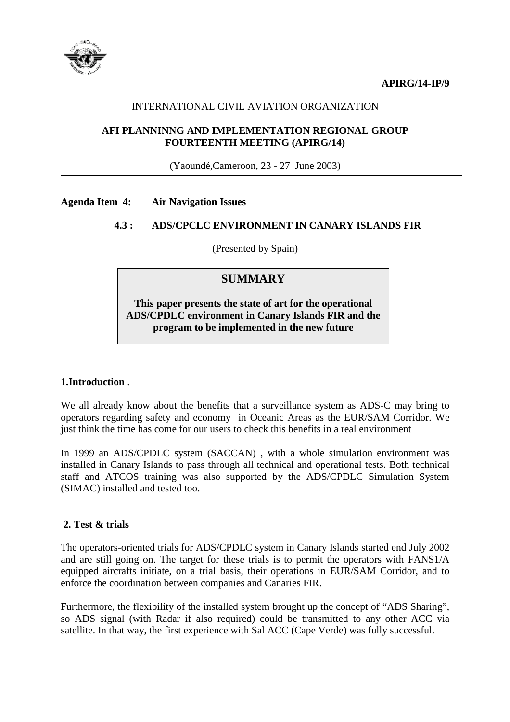**APIRG/14-IP/9** 



## INTERNATIONAL CIVIL AVIATION ORGANIZATION

## **AFI PLANNINNG AND IMPLEMENTATION REGIONAL GROUP FOURTEENTH MEETING (APIRG/14)**

(Yaoundé,Cameroon, 23 - 27 June 2003)

#### **Agenda Item 4: Air Navigation Issues**

## **4.3 : ADS/CPCLC ENVIRONMENT IN CANARY ISLANDS FIR**

(Presented by Spain)

# **SUMMARY**

**This paper presents the state of art for the operational ADS/CPDLC environment in Canary Islands FIR and the program to be implemented in the new future** 

### **1.Introduction** .

We all already know about the benefits that a surveillance system as ADS-C may bring to operators regarding safety and economy in Oceanic Areas as the EUR/SAM Corridor. We just think the time has come for our users to check this benefits in a real environment

In 1999 an ADS/CPDLC system (SACCAN), with a whole simulation environment was installed in Canary Islands to pass through all technical and operational tests. Both technical staff and ATCOS training was also supported by the ADS/CPDLC Simulation System (SIMAC) installed and tested too.

## **2. Test & trials**

The operators-oriented trials for ADS/CPDLC system in Canary Islands started end July 2002 and are still going on. The target for these trials is to permit the operators with FANS1/A equipped aircrafts initiate, on a trial basis, their operations in EUR/SAM Corridor, and to enforce the coordination between companies and Canaries FIR.

Furthermore, the flexibility of the installed system brought up the concept of "ADS Sharing", so ADS signal (with Radar if also required) could be transmitted to any other ACC via satellite. In that way, the first experience with Sal ACC (Cape Verde) was fully successful.